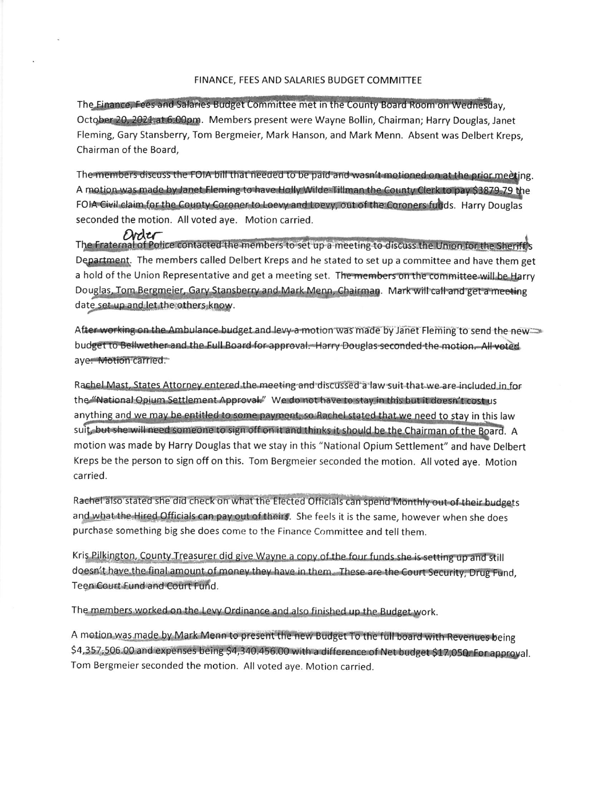## FINANCE, FEES AND SALARIES BUDGET COMMITTEE

The Finance, Fees and Salaries Budget Committee met in the County Board Room on Wednesday, October 20, 2021 at 6:00pm. Members present were Wayne Bollin, Chairman; Harry Douglas, Janet Fleming, Gary Stansberry, Tom Bergmeier, Mark Hanson, and Mark Menn. Absent was Delbert Kreps. Chairman of the Board.

The members discuss the FOIA bill that needed to be paid and wasn't motioned on at the prior meeting. A motion was made by Janet Fleming to have Holly Wilde Tillman the County Clerk to pay \$3879.79 the FOIA Civil claim for the County Coroner to Loevy and Loevy, out of the Coroners funds. Harry Douglas seconded the motion. All voted ave. Motion carried.

Order Material of Police contacted the members to set up a meeting to discuss the Union for the Sherift's Department. The members called Delbert Kreps and he stated to set up a committee and have them get a hold of the Union Representative and get a meeting set. The members on the committee will be Harry Douglas, Tom Bergmeier, Gary Stansberry and Mark Menn, Chairman. Mark will call and get a meeting date set up and let the others know.

After working on the Ambulance budget and levy-a motion was made by Janet Fleming to send the new budget to Bellwether and the Full Board for approval. Harry Douglas seconded the motion. All voted aye. Motion carried.

Rachel Mast, States Attorney entered the meeting and discussed a law suit that we are included in for the "National Opium Settlement Approval." We do not have to stay in this but it doesn't cost us anything and we may be entitled to some payment, so Rachel stated that we need to stay in this law suit, but she will need someone to sign off on it and thinks it should be the Chairman of the Board. A motion was made by Harry Douglas that we stay in this "National Opium Settlement" and have Delbert Kreps be the person to sign off on this. Tom Bergmeier seconded the motion. All voted aye. Motion carried.

Rachel also stated she did check on what the Elected Officials can spend Monthly out of their budgets and what the Hired Officials can pay out of theirs. She feels it is the same, however when she does purchase something big she does come to the Finance Committee and tell them.

Kris Pilkington, County Treasurer did give Wayne a copy of the four funds she is setting up and still doesn't have the final amount of money they have in them. These are the Court Security, Drug Fund, Teen Court Fund and Court Fund.

The members worked on the Levy Ordinance and also finished up the Budget work.

A motion was made by Mark Menn to present the new Budget To the full board with Revenues being \$4,357,506.00 and expenses being \$4,340.456.00 with a difference of Net budget \$17,050. For approval. Tom Bergmeier seconded the motion. All voted aye. Motion carried.